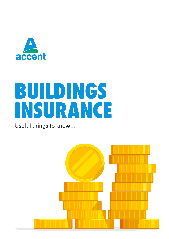

# **BUILDINGS INSURANCE**

Useful things to know…

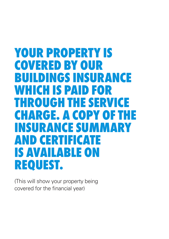# **YOUR PROPERTY IS COVERED BY OUR BUILDINGS INSURANCE WHICH IS PAID FOR THROUGH THE SERVICE CHARGE. A COPY OF THE INSURANCE SUMMARY AND CERTIFICATE IS AVAILABLE ON REQUEST.**

(This will show your property being covered for the financial year)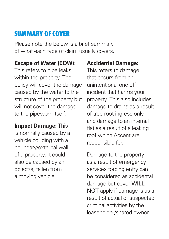## **SUMMARY OF COVER**

Please note the below is a brief summary of what each type of claim usually covers.

#### **Escape of Water (EOW):**

This refers to pipe leaks within the property. The policy will cover the damage caused by the water to the structure of the property but will not cover the damage to the pipework itself.

**Impact Damage: This** is normally caused by a vehicle colliding with a boundary/external wall of a property. It could also be caused by an object(s) fallen from a moving vehicle.

### **Accidental Damage:**

This refers to damage that occurs from an unintentional one-off incident that harms your property. This also includes damage to drains as a result of tree root ingress only and damage to an internal flat as a result of a leaking roof which Accent are responsible for.

Damage to the property as a result of emergency services forcing entry can be considered as accidental damage but cover WILL NOT apply if damage is as a result of actual or suspected criminal activities by the leaseholder/shared owner.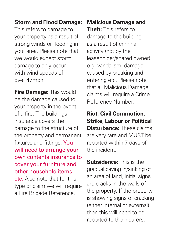#### **Storm and Flood Damage:**

This refers to damage to your property as a result of strong winds or flooding in your area. Please note that we would expect storm damage to only occur with wind speeds of over 47mph.

**Fire Damage:** This would be the damage caused to your property in the event of a fire. The buildings insurance covers the damage to the structure of the property and permanent fixtures and fittings. You will need to arrange your own contents insurance to cover your furniture and other household items etc. Also note that for this type of claim we will require a Fire Brigade Reference.

#### **Malicious Damage and**

**Theft:** This refers to damage to the building as a result of criminal activity (not by the leaseholder/shared owner) e.g. vandalism, damage caused by breaking and entering etc. Please note that all Malicious Damage claims will require a Crime Reference Number.

**Riot, Civil Commotion, Strike, Labour or Political Disturbance:** These claims are very rare and MUST be reported within 7 days of the incident.

**Subsidence:** This is the gradual caving in/sinking of an area of land, initial signs are cracks in the walls of the property. If the property is showing signs of cracking (either internal or external) then this will need to be reported to the Insurers.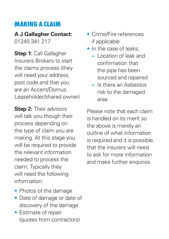# **MAKING A CLAIM**

# **A J Gallagher Contact:**

01245 341 217

**Step 1: Call Gallagher** Insurers Brokers to start the claims process (they will need your address, post code and that you are an Accent/Domus Leaseholder/shared owner)

**Step 2: Their advisors** will talk you though their process depending on the type of claim you are making. At this stage you will be required to provide the relevant information needed to process the claim. Typically they will need the following information:

- Photos of the damage
- Date of damage or date of discovery of the damage
- Estimate of repair (quotes from contractors)
- Crime/Fire references if applicable
- In the case of leaks;
	- **–** Location of leak and confirmation that the pipe has been sourced and repaired
	- **–** Is there an Asbestos risk to the damaged area

Please note that each claim is handled on its merit so the above is merely an outline of what information is required and it is possible that the insurers will need to ask for more information and make further enquires.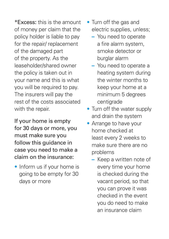\*Excess: this is the amount of money per claim that the policy holder is liable to pay for the repair/ replacement of the damaged part of the property. As the leaseholder/shared owner the policy is taken out in your name and this is what you will be required to pay. The insurers will pay the rest of the costs associated with the repair.

If your home is empty for 30 days or more, you must make sure you follow this guidance in case you need to make a claim on the insurance:

• Inform us if your home is going to be empty for 30 days or more

- Turn off the gas and electric supplies, unless;
	- **–** You need to operate a fire alarm system, smoke detector or burglar alarm
	- **–** You need to operate a heating system during the winter months to keep your home at a minimum 5 degrees centigrade
- Turn off the water supply and drain the system
- Arrange to have your home checked at least every 2 weeks to make sure there are no problems
	- **–** Keep a written note of every time your home is checked during the vacant period, so that you can prove it was checked in the event you do need to make an insurance claim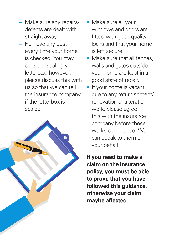- **–** Make sure any repairs/ defects are dealt with straight away
- **–** Remove any post every time your home is checked. You may consider sealing your letterbox, however, please discuss this with us so that we can tell the insurance company if the letterbox is sealed.



- Make sure all your windows and doors are fitted with good quality locks and that your home is left secure
- Make sure that all fences, walls and gates outside your home are kept in a good state of repair.
- If your home is vacant due to any refurbishment/ renovation or alteration work, please agree this with the insurance company before these works commence. We can speak to them on your behalf.

**If you need to make a claim on the insurance policy, you must be able to prove that you have followed this guidance, otherwise your claim maybe affected.**